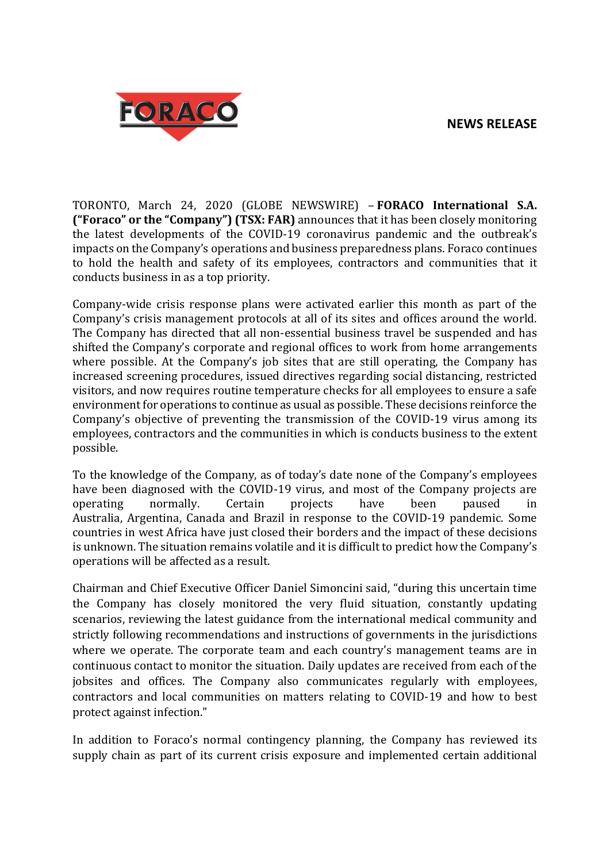

TORONTO, March 24, 2020 (GLOBE NEWSWIRE) – **FORACO International S.A. ("Foraco" or the "Company") (TSX: FAR)** announces that it has been closely monitoring the latest developments of the COVID-19 coronavirus pandemic and the outbreak's impacts on the Company's operations and business preparedness plans. Foraco continues to hold the health and safety of its employees, contractors and communities that it conducts business in as a top priority.

Company-wide crisis response plans were activated earlier this month as part of the Company's crisis management protocols at all of its sites and offices around the world. The Company has directed that all non-essential business travel be suspended and has shifted the Company's corporate and regional offices to work from home arrangements where possible. At the Company's job sites that are still operating, the Company has increased screening procedures, issued directives regarding social distancing, restricted visitors, and now requires routine temperature checks for all employees to ensure a safe environment for operations to continue as usual as possible. These decisions reinforce the Company's objective of preventing the transmission of the COVID-19 virus among its employees, contractors and the communities in which is conducts business to the extent possible.

To the knowledge of the Company, as of today's date none of the Company's employees have been diagnosed with the COVID-19 virus, and most of the Company projects are operating normally. Certain projects have been paused in Australia, Argentina, Canada and Brazil in response to the COVID-19 pandemic. Some countries in west Africa have just closed their borders and the impact of these decisions is unknown. The situation remains volatile and it is difficult to predict how the Company's operations will be affected as a result.

Chairman and Chief Executive Officer Daniel Simoncini said, "during this uncertain time the Company has closely monitored the very fluid situation, constantly updating scenarios, reviewing the latest guidance from the international medical community and strictly following recommendations and instructions of governments in the jurisdictions where we operate. The corporate team and each country's management teams are in continuous contact to monitor the situation. Daily updates are received from each of the jobsites and offices. The Company also communicates regularly with employees, contractors and local communities on matters relating to COVID-19 and how to best protect against infection."

In addition to Foraco's normal contingency planning, the Company has reviewed its supply chain as part of its current crisis exposure and implemented certain additional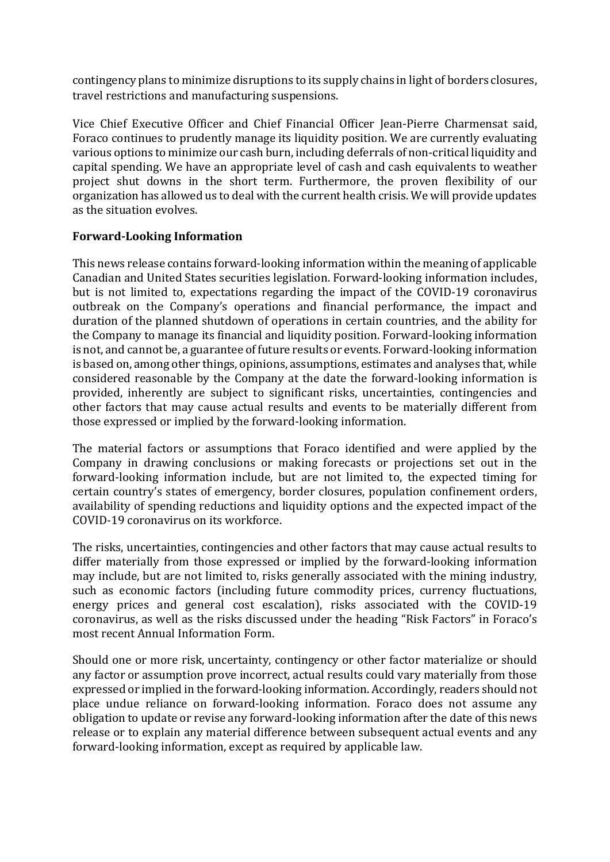contingency plans to minimize disruptions to its supply chains in light of borders closures, travel restrictions and manufacturing suspensions.

Vice Chief Executive Officer and Chief Financial Officer Jean-Pierre Charmensat said, Foraco continues to prudently manage its liquidity position. We are currently evaluating various options to minimize our cash burn, including deferrals of non-critical liquidity and capital spending. We have an appropriate level of cash and cash equivalents to weather project shut downs in the short term. Furthermore, the proven flexibility of our organization has allowed us to deal with the current health crisis. We will provide updates as the situation evolves.

## **Forward‐Looking Information**

This news release contains forward-looking information within the meaning of applicable Canadian and United States securities legislation. Forward-looking information includes, but is not limited to, expectations regarding the impact of the COVID-19 coronavirus outbreak on the Company's operations and financial performance, the impact and duration of the planned shutdown of operations in certain countries, and the ability for the Company to manage its financial and liquidity position. Forward-looking information is not, and cannot be, a guarantee of future results or events. Forward-looking information is based on, among other things, opinions, assumptions, estimates and analyses that, while considered reasonable by the Company at the date the forward-looking information is provided, inherently are subject to significant risks, uncertainties, contingencies and other factors that may cause actual results and events to be materially different from those expressed or implied by the forward-looking information.

The material factors or assumptions that Foraco identified and were applied by the Company in drawing conclusions or making forecasts or projections set out in the forward-looking information include, but are not limited to, the expected timing for certain country's states of emergency, border closures, population confinement orders, availability of spending reductions and liquidity options and the expected impact of the COVID-19 coronavirus on its workforce.

The risks, uncertainties, contingencies and other factors that may cause actual results to differ materially from those expressed or implied by the forward-looking information may include, but are not limited to, risks generally associated with the mining industry, such as economic factors (including future commodity prices, currency fluctuations, energy prices and general cost escalation), risks associated with the COVID-19 coronavirus, as well as the risks discussed under the heading "Risk Factors" in Foraco's most recent Annual Information Form.

Should one or more risk, uncertainty, contingency or other factor materialize or should any factor or assumption prove incorrect, actual results could vary materially from those expressed or implied in the forward-looking information. Accordingly, readers should not place undue reliance on forward-looking information. Foraco does not assume any obligation to update or revise any forward-looking information after the date of this news release or to explain any material difference between subsequent actual events and any forward-looking information, except as required by applicable law.